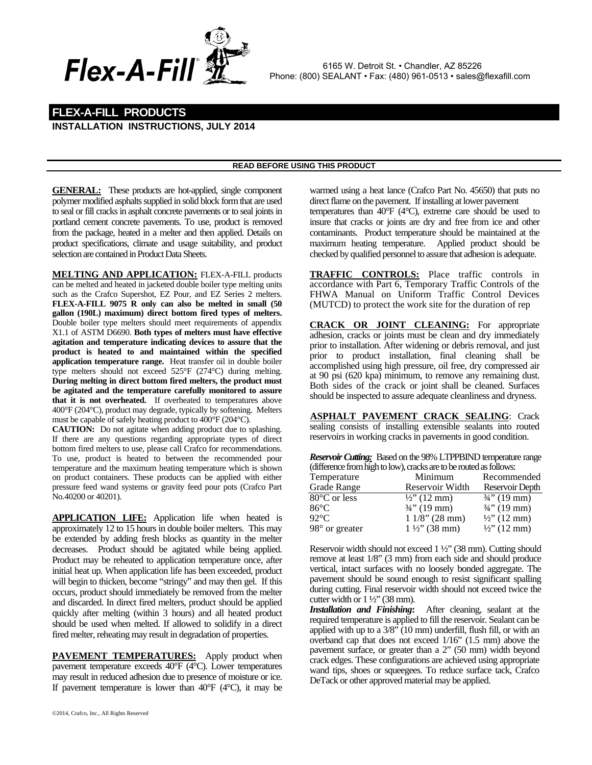

 6165 W. Detroit St. • Chandler, AZ 85226 Phone: (800) SEALANT • Fax: (480) 961-0513 • sales@flexafill.com

## **FLEX-A-FILL PRODUCTS INSTALLATION INSTRUCTIONS, JULY 2014**

## **READ BEFORE USING THIS PRODUCT**

**GENERAL:** These products are hot-applied, single component polymer modified asphalts supplied in solid block form that are used to seal or fill cracks in asphalt concrete pavements or to seal joints in portland cement concrete pavements. To use, product is removed from the package, heated in a melter and then applied. Details on product specifications, climate and usage suitability, and product selection are contained in Product Data Sheets.

**MELTING AND APPLICATION:** FLEX-A-FILL products can be melted and heated in jacketed double boiler type melting units such as the Crafco Supershot, EZ Pour, and EZ Series 2 melters. **FLEX-A-FILL 9075 R only can also be melted in small (50 gallon (190L) maximum) direct bottom fired types of melters.**  Double boiler type melters should meet requirements of appendix X1.1 of ASTM D6690. **Both types of melters must have effective agitation and temperature indicating devices to assure that the product is heated to and maintained within the specified application temperature range.** Heat transfer oil in double boiler type melters should not exceed 525°F (274°C) during melting. **During melting in direct bottom fired melters, the product must be agitated and the temperature carefully monitored to assure that it is not overheated.** If overheated to temperatures above 400°F (204°C), product may degrade, typically by softening. Melters must be capable of safely heating product to 400°F (204°C).

**CAUTION:** Do not agitate when adding product due to splashing. If there are any questions regarding appropriate types of direct bottom fired melters to use, please call Crafco for recommendations. To use, product is heated to between the recommended pour temperature and the maximum heating temperature which is shown on product containers. These products can be applied with either pressure feed wand systems or gravity feed pour pots (Crafco Part No.40200 or 40201).

**APPLICATION LIFE:** Application life when heated is approximately 12 to 15 hours in double boiler melters. This may be extended by adding fresh blocks as quantity in the melter decreases. Product should be agitated while being applied. Product may be reheated to application temperature once, after initial heat up. When application life has been exceeded, product will begin to thicken, become "stringy" and may then gel. If this occurs, product should immediately be removed from the melter and discarded. In direct fired melters, product should be applied quickly after melting (within 3 hours) and all heated product should be used when melted. If allowed to solidify in a direct fired melter, reheating may result in degradation of properties.

**PAVEMENT TEMPERATURES:** Apply product when pavement temperature exceeds 40°F (4°C). Lower temperatures may result in reduced adhesion due to presence of moisture or ice. If pavement temperature is lower than  $40^{\circ}$ F ( $4^{\circ}$ C), it may be

warmed using a heat lance (Crafco Part No. 45650) that puts no direct flame on the pavement. If installing at lower pavement temperatures than 40°F (4°C), extreme care should be used to insure that cracks or joints are dry and free from ice and other contaminants. Product temperature should be maintained at the maximum heating temperature. Applied product should be checked by qualified personnel to assure that adhesion is adequate.

**TRAFFIC CONTROLS:** Place traffic controls in accordance with Part 6, Temporary Traffic Controls of the FHWA Manual on Uniform Traffic Control Devices (MUTCD) to protect the work site for the duration of rep

**CRACK OR JOINT CLEANING:** For appropriate adhesion, cracks or joints must be clean and dry immediately prior to installation. After widening or debris removal, and just prior to product installation, final cleaning shall be accomplished using high pressure, oil free, dry compressed air at 90 psi (620 kpa) minimum, to remove any remaining dust. Both sides of the crack or joint shall be cleaned. Surfaces should be inspected to assure adequate cleanliness and dryness.

 AS**ASPHALT PAVEMENT CRACK SEALING**: Crack sealing consists of installing extensible sealants into routed reservoirs in working cracks in pavements in good condition.

*Reservoir Cutting:* Based on the 98% LTPPBIND temperature range (difference from high to low), cracks are to be routed as follows:

| Temperature            | Minimum                 | Recommended             |
|------------------------|-------------------------|-------------------------|
| Grade Range            | Reservoir Width         | Reservoir Depth         |
| $80^{\circ}$ C or less | $\frac{1}{2}$ (12 mm)   | $\frac{3}{4}$ " (19 mm) |
| 86°C                   | $\frac{3}{4}$ " (19 mm) | $\frac{3}{4}$ " (19 mm) |
| $92^{\circ}$ C         | $11/8$ " (28 mm)        | $\frac{1}{2}$ (12 mm)   |
| 98° or greater         | $1\frac{1}{2}$ (38 mm)  | $\frac{1}{2}$ " (12 mm) |

Reservoir width should not exceed 1 ½" (38 mm). Cutting should remove at least 1/8" (3 mm) from each side and should produce vertical, intact surfaces with no loosely bonded aggregate. The pavement should be sound enough to resist significant spalling during cutting. Final reservoir width should not exceed twice the cutter width or 1 ½" (38 mm).

*Installation and Finishing***:** After cleaning, sealant at the required temperature is applied to fill the reservoir. Sealant can be applied with up to a 3/8" (10 mm) underfill, flush fill, or with an overband cap that does not exceed 1/16" (1.5 mm) above the pavement surface, or greater than a 2" (50 mm) width beyond crack edges. These configurations are achieved using appropriate wand tips, shoes or squeegees. To reduce surface tack, Crafco DeTack or other approved material may be applied.